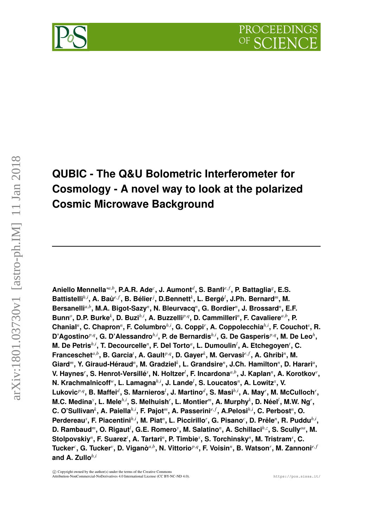



# arXiv:1801.03730v1 [astro-ph.IM] 11 Jan 2018 arXiv:1801.03730v1 [astro-ph.IM] 11 Jan 2018

# **QUBIC - The Q&U Bolometric Interferometer for Cosmology - A novel way to look at the polarized Cosmic Microwave Background**

**Aniello Mennella**∗*a*,*<sup>b</sup>* **, P.A.R. Ade***<sup>c</sup>* **, J. Aumont***<sup>d</sup>* **, S. Banfi***e*, *<sup>f</sup>* **, P. Battaglia***<sup>g</sup>* **, E.S. Battistelli***h*,*<sup>i</sup>* **, A. Baù***e*, *<sup>f</sup>* **, B. Bélier***<sup>j</sup>* **, D.Bennett***<sup>k</sup>* **, L. Bergé***<sup>l</sup>* **, J.Ph. Bernard***m***, M.** Bersanelli<sup>a,b</sup>, M.A. Bigot-Sazy<sup>n</sup>, N. Bleurvacq<sup>n</sup>, G. Bordier<sup>n</sup>, J. Brossard<sup>n</sup>, E.F. Bunn<sup>o</sup>, D.P. Burke<sup>k</sup>, D. Buzi<sup>h,i</sup>, A. Buzzelli<sup>p,q</sup>, D. Cammilleri<sup>n</sup>, F. Cavaliere<sup>a,b</sup>, P. **Chanial***<sup>n</sup>* **, C. Chapron***<sup>n</sup>* **, F. Columbro***h*,*<sup>i</sup>* **, G. Coppi***<sup>r</sup>* **, A. Coppolecchia***h*,*<sup>i</sup>* **, F. Couchot***<sup>s</sup>* **, R. D'Agostino***p*,*<sup>q</sup>* **, G. D'Alessandro***h*,*<sup>i</sup>* **, P. de Bernardis***h*,*<sup>i</sup>* **, G. De Gasperis***p*,*<sup>q</sup>* **, M. De Leo***<sup>h</sup>* **, M. De Petris***h*,*<sup>i</sup>* **, T. Decourcelle***<sup>n</sup>* **, F. Del Torto***<sup>a</sup>* **, L. Dumoulin***<sup>l</sup>* **, A. Etchegoyen***<sup>t</sup>* **, C.**  $\mathsf{Franceschet}^{a,b}, \mathsf{B}$ . Garcia<sup>*t*</sup>, A. Gault<sup>p,q</sup>, D. Gayer<sup>k</sup>, M. Gervasi<sup>e, f</sup>, A. Ghribi<sup>n</sup>, M. Giard<sup>m</sup>, Y. Giraud-Héraud<sup>n</sup>, M. Gradziel<sup>k</sup>, L. Grandsire<sup>n</sup>, J.Ch. Hamilton<sup>n</sup>, D. Harari<sup>a</sup>, **V. Haynes***<sup>r</sup>* **, S. Henrot-Versillé***<sup>s</sup>* **, N. Holtzer***<sup>l</sup>* **, F. Incardona***a*,*<sup>b</sup>* **, J. Kaplan***<sup>n</sup>* **, A. Korotkov***<sup>v</sup>* **, N. Krachmalnicoff***w***, L. Lamagna***h*,*<sup>i</sup>* **, J. Lande***<sup>l</sup>* **, S. Loucatos***<sup>n</sup>* **, A. Lowitz***<sup>x</sup>* **, V.**  $L$ ukovic ${}^{p,q}$ , B. Maffei ${}^{d}$ , S. Marnieros ${}^{l}$ , J. Martino ${}^{d}$ , S. Masi ${}^{h,i}$ , A. May ${}^{r}$ , M. McCulloch ${}^{r}$ , **M.C. Medina***<sup>y</sup>* **, L. Mele***h*,*<sup>i</sup>* **, S. Melhuish***<sup>r</sup>* **, L. Montier***m***, A. Murphy***<sup>k</sup>* **, D. Néel***<sup>l</sup>* **, M.W. Ng***<sup>r</sup>* **, C. O'Sullivan***<sup>k</sup>* **, A. Paiella***h*,*<sup>i</sup>* **, F. Pajot***m***, A. Passerini***e*, *<sup>f</sup>* **, A.Pelosi***h*,*<sup>i</sup>* **, C. Perbost***<sup>n</sup>* **, O. Perdereau***<sup>s</sup>* **, F. Piacentini***h*,*<sup>i</sup>* **, M. Piat***<sup>n</sup>* **, L. Piccirillo***<sup>r</sup>* **, G. Pisano***<sup>c</sup>* **, D. Prêle***<sup>n</sup>* **, R. Puddu***h*,*<sup>i</sup>* **, D. Rambaud***m***, O. Rigaut***<sup>l</sup>* **, G.E. Romero***<sup>y</sup>* **, M. Salatino***<sup>n</sup>* **, A. Schillaci***h*,*<sup>z</sup>* **, S. Scully***aa***, M.**  $\blacksquare$ Stolpovskiy<sup>n</sup>, F. Suarez<sup>*t*</sup>, A. Tartari<sup>n</sup>, P. Timbie<sup>x</sup>, S. Torchinsky<sup>n</sup>, M. Tristram<sup>*s*</sup>, C.  $\mathbf{C}$  Tucker<sup>v</sup>, D. Viganò $^{a,b}$ , N. Vittorio $^{p,q}$ , F. Voisin $^{n}$ , B. Watson $^{r}$ , M. Zannoni $^{e,f}$ **and A. Zullo***h*,*<sup>i</sup>*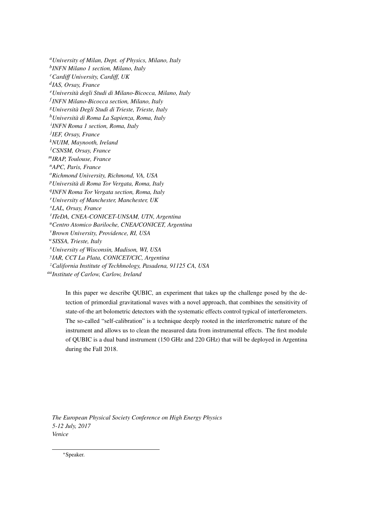*<sup>a</sup>University of Milan, Dept. of Physics, Milano, Italy b INFN Milano 1 section, Milano, Italy <sup>c</sup>Cardiff University, Cardiff, UK d IAS, Orsay, France <sup>e</sup>Università degli Studi di Milano-Bicocca, Milano, Italy f INFN Milano-Bicocca section, Milano, Italy <sup>g</sup>Università Degli Studi di Trieste, Trieste, Italy <sup>h</sup>Università di Roma La Sapienza, Roma, Italy i INFN Roma 1 section, Roma, Italy j IEF, Orsay, France <sup>k</sup>NUIM, Maynooth, Ireland <sup>l</sup>CSNSM, Orsay, France <sup>m</sup>IRAP, Toulouse, France <sup>n</sup>APC, Paris, France <sup>o</sup>Richmond University, Richmond, VA, USA <sup>p</sup>Università di Roma Tor Vergata, Roma, Italy q INFN Roma Tor Vergata section, Roma, Italy <sup>r</sup>University of Manchester, Manchester, UK <sup>s</sup>LAL, Orsay, France t ITeDA, CNEA-CONICET-UNSAM, UTN, Argentina <sup>u</sup>Centro Atomico Bariloche, CNEA/CONICET, Argentina <sup>v</sup>Brown University, Providence, RI, USA <sup>w</sup>SISSA, Trieste, Italy <sup>x</sup>University of Wisconsin, Madison, WI, USA y IAR, CCT La Plata, CONICET/CIC, Argentina <sup>z</sup>California Institute of Techhnology, Pasadena, 91125 CA, USA aaInstitute of Carlow, Carlow, Ireland*

> In this paper we describe QUBIC, an experiment that takes up the challenge posed by the detection of primordial gravitational waves with a novel approach, that combines the sensitivity of state-of-the art bolometric detectors with the systematic effects control typical of interferometers. The so-called "self-calibration" is a technique deeply rooted in the interferometric nature of the instrument and allows us to clean the measured data from instrumental effects. The first module of QUBIC is a dual band instrument (150 GHz and 220 GHz) that will be deployed in Argentina during the Fall 2018.

*The European Physical Society Conference on High Energy Physics 5-12 July, 2017 Venice*

<sup>∗</sup>Speaker.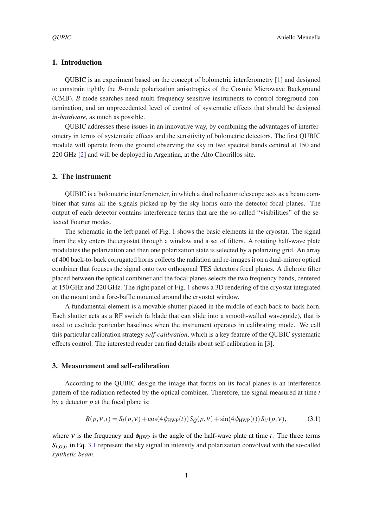# 1. Introduction

QUBIC is an experiment based on the concept of bolometric interferometry [\[1\]](#page-5-0) and designed to constrain tightly the *B*-mode polarization anisotropies of the Cosmic Microwave Background (CMB). *B*-mode searches need multi-frequency sensitive instruments to control foreground contamination, and an unprecedented level of control of systematic effects that should be designed *in-hardware*, as much as possible.

QUBIC addresses these issues in an innovative way, by combining the advantages of interferometry in terms of systematic effects and the sensitivity of bolometric detectors. The first QUBIC module will operate from the ground observing the sky in two spectral bands centred at 150 and 220 GHz [\[2\]](#page-5-0) and will be deployed in Argentina, at the Alto Chorrillos site.

### 2. The instrument

QUBIC is a bolometric interferometer, in which a dual reflector telescope acts as a beam combiner that sums all the signals picked-up by the sky horns onto the detector focal planes. The output of each detector contains interference terms that are the so-called "visibilities" of the selected Fourier modes.

The schematic in the left panel of Fig. [1](#page-3-0) shows the basic elements in the cryostat. The signal from the sky enters the cryostat through a window and a set of filters. A rotating half-wave plate modulates the polarization and then one polarization state is selected by a polarizing grid. An array of 400 back-to-back corrugated horns collects the radiation and re-images it on a dual-mirror optical combiner that focuses the signal onto two orthogonal TES detectors focal planes. A dichroic filter placed between the optical combiner and the focal planes selects the two frequency bands, centered at 150 GHz and 220 GHz. The right panel of Fig. [1](#page-3-0) shows a 3D rendering of the cryostat integrated on the mount and a fore-baffle mounted around the cryostat window.

A fundamental element is a movable shutter placed in the middle of each back-to-back horn. Each shutter acts as a RF switch (a blade that can slide into a smooth-walled waveguide), that is used to exclude particular baselines when the instrument operates in calibrating mode. We call this particular calibration strategy *self-calibration*, which is a key feature of the QUBIC systematic effects control. The interested reader can find details about self-calibration in [\[3\]](#page-5-0).

# 3. Measurement and self-calibration

According to the QUBIC design the image that forms on its focal planes is an interference pattern of the radiation reflected by the optical combiner. Therefore, the signal measured at time *t* by a detector *p* at the focal plane is:

$$
R(p, v, t) = S_I(p, v) + \cos(4\phi_{HWP}(t)) S_Q(p, v) + \sin(4\phi_{HWP}(t)) S_U(p, v),
$$
(3.1)

where  $v$  is the frequency and  $\phi$ <sub>HWP</sub> is the angle of the half-wave plate at time *t*. The three terms *SI*,*Q*,*<sup>U</sup>* in Eq. 3.1 represent the sky signal in intensity and polarization convolved with the so-called *synthetic beam*.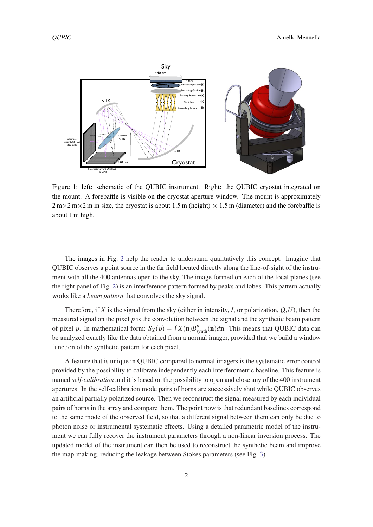<span id="page-3-0"></span>

Figure 1: left: schematic of the QUBIC instrument. Right: the QUBIC cryostat integrated on the mount. A forebaffle is visible on the cryostat aperture window. The mount is approximately  $2 \text{ m} \times 2 \text{ m} \times 2 \text{ m}$  in size, the cryostat is about 1.5 m (height)  $\times$  1.5 m (diameter) and the forebaffle is about 1 m high.

The images in Fig. [2](#page-4-0) help the reader to understand qualitatively this concept. Imagine that QUBIC observes a point source in the far field located directly along the line-of-sight of the instrument with all the 400 antennas open to the sky. The image formed on each of the focal planes (see the right panel of Fig. [2](#page-4-0)) is an interference pattern formed by peaks and lobes. This pattern actually works like a *beam pattern* that convolves the sky signal.

Therefore, if *X* is the signal from the sky (either in intensity, *I*, or polarization,  $Q, U$ ), then the measured signal on the pixel  $p$  is the convolution between the signal and the synthetic beam pattern of pixel *p*. In mathematical form:  $S_X(p) = \int X(\mathbf{n})B_{\text{synth}}^p(\mathbf{n})d\mathbf{n}$ . This means that QUBIC data can be analyzed exactly like the data obtained from a normal imager, provided that we build a window function of the synthetic pattern for each pixel.

A feature that is unique in QUBIC compared to normal imagers is the systematic error control provided by the possibility to calibrate independently each interferometric baseline. This feature is named *self-calibration* and it is based on the possibility to open and close any of the 400 instrument apertures. In the self-calibration mode pairs of horns are successively shut while QUBIC observes an artificial partially polarized source. Then we reconstruct the signal measured by each individual pairs of horns in the array and compare them. The point now is that redundant baselines correspond to the same mode of the observed field, so that a different signal between them can only be due to photon noise or instrumental systematic effects. Using a detailed parametric model of the instrument we can fully recover the instrument parameters through a non-linear inversion process. The updated model of the instrument can then be used to reconstruct the synthetic beam and improve the map-making, reducing the leakage between Stokes parameters (see Fig. [3](#page-4-0)).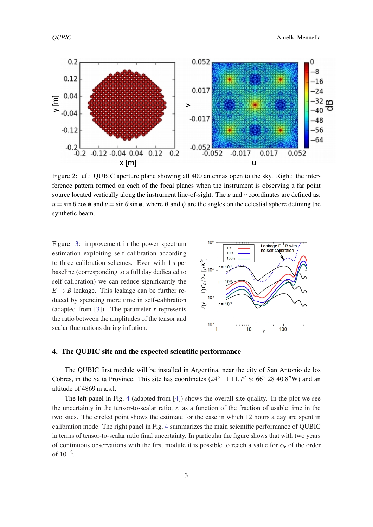<span id="page-4-0"></span>

Figure 2: left: QUBIC aperture plane showing all 400 antennas open to the sky. Right: the interference pattern formed on each of the focal planes when the instrument is observing a far point source located vertically along the instrument line-of-sight. The *u* and *v* coordinates are defined as:  $u = \sin \theta \cos \phi$  and  $v = \sin \theta \sin \phi$ , where  $\theta$  and  $\phi$  are the angles on the celestial sphere defining the synthetic beam.

Figure 3: improvement in the power spectrum estimation exploiting self calibration according to three calibration schemes. Even with 1 s per baseline (corresponding to a full day dedicated to self-calibration) we can reduce significantly the  $E \rightarrow B$  leakage. This leakage can be further reduced by spending more time in self-calibration (adapted from  $[3]$  $[3]$  $[3]$ ). The parameter *r* represents the ratio between the amplitudes of the tensor and scalar fluctuations during inflation.



### 4. The QUBIC site and the expected scientific performance

The QUBIC first module will be installed in Argentina, near the city of San Antonio de los Cobres, in the Salta Province. This site has coordinates  $(24° 11 11.7'' S; 66° 28 40.8'' W)$  and an altitude of 4869 m a.s.l.

The left panel in Fig. [4](#page-5-0) (adapted from [[4\]](#page-5-0)) shows the overall site quality. In the plot we see the uncertainty in the tensor-to-scalar ratio, *r*, as a function of the fraction of usable time in the two sites. The circled point shows the estimate for the case in which 12 hours a day are spent in calibration mode. The right panel in Fig. [4](#page-5-0) summarizes the main scientific performance of QUBIC in terms of tensor-to-scalar ratio final uncertainty. In particular the figure shows that with two years of continuous observations with the first module it is possible to reach a value for  $\sigma_r$  of the order of  $10^{-2}$ .